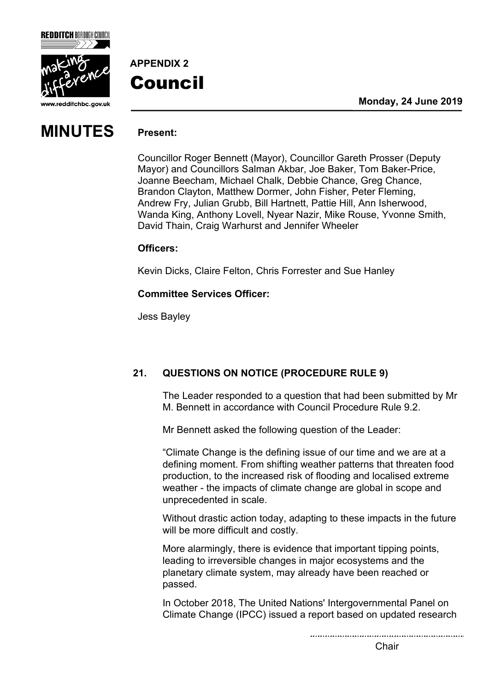

www.redditchbc.gov.uk

# Council

#### **Monday, 24 June 2019**

### **MINUTES Present:**

**APPENDIX 2**

Councillor Roger Bennett (Mayor), Councillor Gareth Prosser (Deputy Mayor) and Councillors Salman Akbar, Joe Baker, Tom Baker-Price, Joanne Beecham, Michael Chalk, Debbie Chance, Greg Chance, Brandon Clayton, Matthew Dormer, John Fisher, Peter Fleming, Andrew Fry, Julian Grubb, Bill Hartnett, Pattie Hill, Ann Isherwood, Wanda King, Anthony Lovell, Nyear Nazir, Mike Rouse, Yvonne Smith, David Thain, Craig Warhurst and Jennifer Wheeler

#### **Officers:**

Kevin Dicks, Claire Felton, Chris Forrester and Sue Hanley

#### **Committee Services Officer:**

Jess Bayley

#### **21. QUESTIONS ON NOTICE (PROCEDURE RULE 9)**

The Leader responded to a question that had been submitted by Mr M. Bennett in accordance with Council Procedure Rule 9.2.

Mr Bennett asked the following question of the Leader:

"Climate Change is the defining issue of our time and we are at a defining moment. From shifting weather patterns that threaten food production, to the increased risk of flooding and localised extreme weather - the impacts of climate change are global in scope and unprecedented in scale.

Without drastic action today, adapting to these impacts in the future will be more difficult and costly.

More alarmingly, there is evidence that important tipping points, leading to irreversible changes in major ecosystems and the planetary climate system, may already have been reached or passed.

In October 2018, The United Nations' Intergovernmental Panel on Climate Change (IPCC) issued a report based on updated research

Chair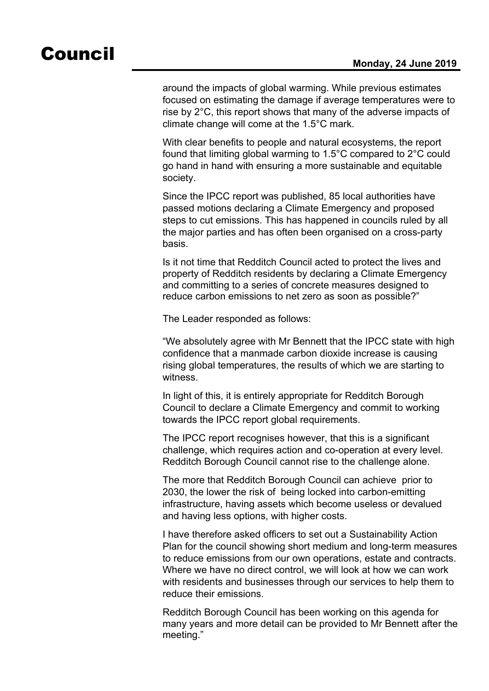## **Council** Monday, 24 June 2019

around the impacts of global warming. While previous estimates focused on estimating the damage if average temperatures were to rise by 2°C, this report shows that many of the adverse impacts of climate change will come at the 1.5°C mark.

With clear benefits to people and natural ecosystems, the report found that limiting global warming to 1.5°C compared to 2°C could go hand in hand with ensuring a more sustainable and equitable society.

Since the IPCC report was published, 85 local authorities have passed motions declaring a Climate Emergency and proposed steps to cut emissions. This has happened in councils ruled by all the major parties and has often been organised on a cross-party basis.

Is it not time that Redditch Council acted to protect the lives and property of Redditch residents by declaring a Climate Emergency and committing to a series of concrete measures designed to reduce carbon emissions to net zero as soon as possible?"

The Leader responded as follows:

"We absolutely agree with Mr Bennett that the IPCC state with high confidence that a manmade carbon dioxide increase is causing rising global temperatures, the results of which we are starting to witness.

In light of this, it is entirely appropriate for Redditch Borough Council to declare a Climate Emergency and commit to working towards the IPCC report global requirements.

The IPCC report recognises however, that this is a significant challenge, which requires action and co-operation at every level. Redditch Borough Council cannot rise to the challenge alone.

The more that Redditch Borough Council can achieve prior to 2030, the lower the risk of being locked into carbon-emitting infrastructure, having assets which become useless or devalued and having less options, with higher costs.

I have therefore asked officers to set out a Sustainability Action Plan for the council showing short medium and long-term measures to reduce emissions from our own operations, estate and contracts. Where we have no direct control, we will look at how we can work with residents and businesses through our services to help them to reduce their emissions.

Redditch Borough Council has been working on this agenda for many years and more detail can be provided to Mr Bennett after the meeting."